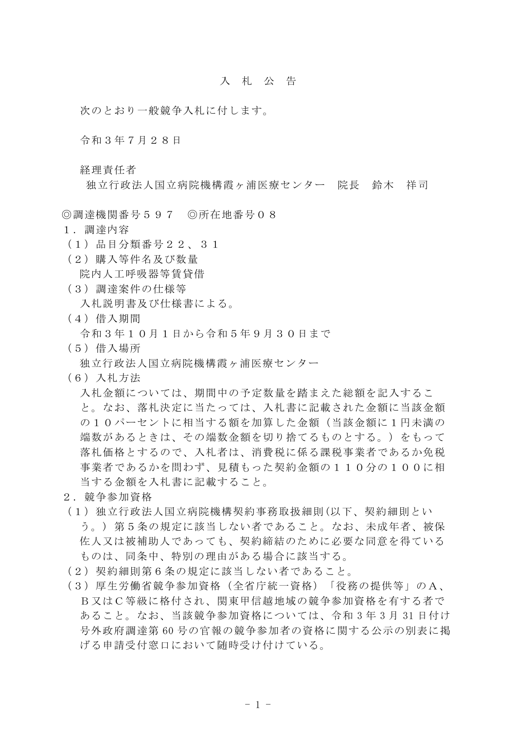## 入札公 告

次のとおり一般競争入札に付します。

令和3年7月28日

経理責任者

独立行政法人国立病院機構霞ヶ浦医療センター 院長 鈴木 祥司

◎調達機関番号597 ◎所在地番号08

- 1.調達内容
- (1)品目分類番号22、31
- (2)購入等件名及び数量

院内人工呼吸器等賃貸借

(3)調達案件の仕様等

入札説明書及び仕様書による。

(4)借入期間

令和3年10月1日から令和5年9月30日まで

(5)借入場所

独立行政法人国立病院機構霞ヶ浦医療センター

(6)入札方法

入札金額については、期間中の予定数量を踏まえた総額を記入するこ と。なお、落札決定に当たっては、入札書に記載された金額に当該金額 の10パーセントに相当する額を加算した金額(当該金額に1円未満の 端数があるときは、その端数金額を切り捨てるものとする。)をもって 落札価格とするので、入札者は、消費税に係る課税事業者であるか免税 事業者であるかを問わず、見積もった契約金額の110分の100に相 当する金額を入札書に記載すること。

- 2.競争参加資格
- (1)独立行政法人国立病院機構契約事務取扱細則(以下、契約細則とい う。) 第5条の規定に該当しない者であること。なお、未成年者、被保 佐人又は被補助人であっても、契約締結のために必要な同意を得ている ものは、同条中、特別の理由がある場合に該当する。
- (2)契約細則第6条の規定に該当しない者であること。
- (3)厚生労働省競争参加資格(全省庁統一資格)「役務の提供等」のA、 B又はC等級に格付され、関東甲信越地域の競争参加資格を有する者で あること。なお、当該競争参加資格については、令和 3 年 3 月 31 日付け 号外政府調達第 60 号の官報の競争参加者の資格に関する公示の別表に掲 げる申請受付窓口において随時受け付けている。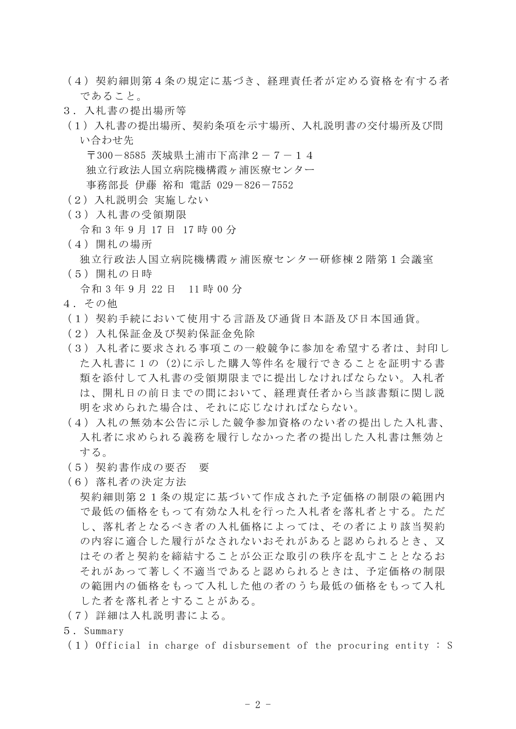- (4)契約細則第4条の規定に基づき、経理責任者が定める資格を有する者 であること。
- 3.入札書の提出場所等
- (1)入札書の提出場所、契約条項を示す場所、入札説明書の交付場所及び問 い合わせ先

〒300-8585 茨城県土浦市下高津2-7-14 独立行政法人国立病院機構霞ヶ浦医療センター

事務部長 伊藤 裕和 電話 029-826-7552

- (2)入札説明会 実施しない
- (3)入札書の受領期限

令和 3 年 9 月 17 日 17 時 00 分

(4)開札の場所

独立行政法人国立病院機構霞ヶ浦医療センター研修棟2階第1会議室

(5)開札の日時

令和 3 年 9 月 22 日 11 時 00 分

- 4.その他
- (1)契約手続において使用する言語及び通貨日本語及び日本国通貨。
- (2)入札保証金及び契約保証金免除
- (3)入札者に要求される事項この一般競争に参加を希望する者は、封印し た入札書に 1 の(2)に示した購入等件名を履行できることを証明する書 類を添付して入札書の受領期限までに提出しなければならない。入札者 は、開札日の前日までの間において、経理責任者から当該書類に関し説 明を求められた場合は、それに応じなければならない。
- (4)入札の無効本公告に示した競争参加資格のない者の提出した入札書、 入札者に求められる義務を履行しなかった者の提出した入札書は無効と する。
- (5)契約書作成の要否 要
- (6)落札者の決定方法

契約細則第21条の規定に基づいて作成された予定価格の制限の範囲内 で最低の価格をもって有効な入札を行った入札者を落札者とする。ただ し、落札者となるべき者の入札価格によっては、その者により該当契約 の内容に適合した履行がなされないおそれがあると認められるとき、又 はその者と契約を締結することが公正な取引の秩序を乱すこととなるお それがあって著しく不適当であると認められるときは、予定価格の制限 の範囲内の価格をもって入札した他の者のうち最低の価格をもって入札 した者を落札者とすることがある。

- (7)詳細は入札説明書による。
- 5.Summary
- $(1)$  Official in charge of disbursement of the procuring entity : S